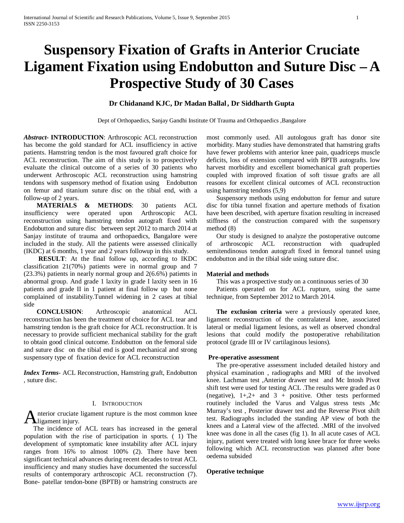# **Suspensory Fixation of Grafts in Anterior Cruciate Ligament Fixation using Endobutton and Suture Disc – A Prospective Study of 30 Cases**

## **Dr Chidanand KJC, Dr Madan Ballal, Dr Siddharth Gupta**

Dept of Orthopaedics, Sanjay Gandhi Institute Of Trauma and Orthopaedics ,Bangalore

*Abstract***- INTRODUCTION**: Arthroscopic ACL reconstruction has become the gold standard for ACL insufficiency in active patients. Hamstring tendon is the most favoured graft choice for ACL reconstruction. The aim of this study is to prospectively evaluate the clinical outcome of a series of 30 patients who underwent Arthroscopic ACL reconstruction using hamstring tendons with suspensory method of fixation using Endobutton on femur and titanium suture disc on the tibial end, with a follow-up of 2 years.

 **MATERIALS & METHODS**: 30 patients ACL insufficiency were operated upon Arthroscopic ACL reconstruction using hamstring tendon autograft fixed with Endobutton and suture disc between sept 2012 to march 2014 at Sanjay institute of trauma and orthopaedics, Bangalore were included in the study. All the patients were assessed clinically (IKDC) at 6 months, 1 year and 2 years followup in this study.

**RESULT:** At the final follow up, according to IKDC classification 21(70%) patients were in normal group and 7 (23.3%) patients in nearly normal group and 2(6.6%) patients in abnormal group. And grade 1 laxity in grade I laxity seen in 16 patients and grade II in 1 patient at final follow up but none complained of instability.Tunnel widening in 2 cases at tibial side

 **CONCLUSION**: Arthroscopic anatomical ACL reconstruction has been the treatment of choice for ACL tear and hamstring tendon is the graft choice for ACL reconstruction. It is necessary to provide sufficient mechanical stability for the graft to obtain good clinical outcome. Endobutton on the femoral side and suture disc on the tibial end is good mechanical and strong suspensory type of fixation device for ACL reconstruction

*Index Terms*- ACL Reconstruction, Hamstring graft, Endobutton , suture disc.

## I. INTRODUCTION

nterior cruciate ligament rupture is the most common knee Anterior cruciate<br>The initial control

 The incidence of ACL tears has increased in the general population with the rise of participation in sports. ( 1) The development of symptomatic knee instability after ACL injury ranges from 16% to almost 100% (2). There have been significant technical advances during recent decades to treat ACL insufficiency and many studies have documented the successful results of contemporary arthroscopic ACL reconstruction (7). Bone- patellar tendon-bone (BPTB) or hamstring constructs are

most commonly used. All autologous graft has donor site morbidity. Many studies have demonstrated that hamstring grafts have fewer problems with anterior knee pain, quadriceps muscle deficits, loss of extension compared with BPTB autografts. low harvest morbidity and excellent biomechanical graft properties coupled with improved fixation of soft tissue grafts are all reasons for excellent clinical outcomes of ACL reconstruction using hamstring tendons (5,9)

 Suspensory methods using endobutton for femur and suture disc for tibia tunnel fixation and aperture methods of fixation have been described, with aperture fixation resulting in increased stiffness of the construction compared with the suspensory method (8)

 Our study is designed to analyze the postoperative outcome of arthroscopic ACL reconstruction with quadrupled semitendinosus tendon autograft fixed in femoral tunnel using endobutton and in the tibial side using suture disc.

#### **Material and methods**

This was a prospective study on a continuous series of 30

 Patients operated on for ACL rupture, using the same technique, from September 2012 to March 2014.

 **The exclusion criteria** were a previously operated knee, ligament reconstruction of the contralateral knee, associated lateral or medial ligament lesions, as well as observed chondral lesions that could modify the postoperative rehabilitation protocol (grade III or IV cartilaginous lesions).

#### **Pre-operative assessment**

 The pre-operative assessment included detailed history and physical examination , radiographs and MRI of the involved knee. Lachman test ,Anterior drawer test and Mc Intosh Pivot shift test were used for testing ACL .The results were graded as 0 (negative),  $1+,2+$  and  $3+$  positive. Other tests performed routinely included the Varus and Valgus stress tests ,Mc Murray's test , Posterior drawer test and the Reverse Pivot shift test. Radiographs included the standing AP view of both the knees and a Lateral view of the affected. .MRI of the involved knee was done in all the cases (fig 1). In all acute cases of ACL injury, patient were treated with long knee brace for three weeks following which ACL reconstruction was planned after bone oedema subsided

### **Operative technique**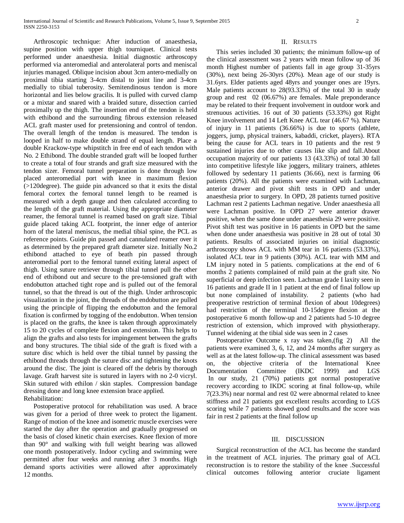Arthroscopic technique: After induction of anaesthesia, supine position with upper thigh tourniquet. Clinical tests performed under anaesthesia. Initial diagnostic arthroscopy performed via anteromedial and anterolateral ports and meniscal injuries managed. Oblique incision about 3cm antero-medially on proximal tibia starting 3-4cm distal to joint line and 3-4cm medially to tibial tuberosity. Semitendinosus tendon is more horizontal and lies below gracilis. It is pulled with curved clamp or a mixtar and snared with a braided suture, dissection carried proximally up the thigh. The insertion end of the tendon is held with ethibond and the surrounding fibrous extension released ACL graft master used for pretensioning and control of tendon. The overall length of the tendon is measured. The tendon is looped in half to make double strand of equal length. Place a double Krackow-type whipstitch in free end of each tendon with No. 2 Ethibond. The double stranded graft will be looped further to create a total of four strands and graft size measured with the tendon sizer. Femoral tunnel preparation is done through low placed anteromedial port with knee in maximum flexion (>120degree). The guide pin advanced so that it exits the distal femoral cortex the femoral tunnel length to be reamed is measured with a depth gauge and then calculated according to the length of the graft material. Using the appropriate diameter reamer, the femoral tunnel is reamed based on graft size. Tibial guide placed taking ACL footprint, the inner edge of anterior horn of the lateral meniscus, the medial tibial spine, the PCL as reference points. Guide pin passed and cannulated reamer over it as determined by the prepared graft diameter size. Initially No.2 ethibond attached to eye of beath pin passed through anteromedial port to the femoral tunnel exiting lateral aspect of thigh. Using suture retriever through tibial tunnel pull the other end of ethibond out and secure to the pre-tensioned graft with endobutton attached tight rope and is pulled out of the femoral tunnel, so that the thread is out of the thigh. Under arthroscopic visualization in the joint, the threads of the endobutton are pulled using the principle of flipping the endobutton and the femoral fixation is confirmed by togging of the endobutton. When tension is placed on the grafts, the knee is taken through approximately 15 to 20 cycles of complete flexion and extension. This helps to align the grafts and also tests for impingement between the grafts and bony structures. The tibial side of the graft is fixed with a suture disc which is held over the tibial tunnel by passing the ethibond threads through the suture disc and tightening the knots around the disc. The joint is cleared off the debris by thorough lavage. Graft harvest site is sutured in layers with no 2-0 vicryl. Skin sutured with ethilon / skin staples. Compression bandage dressing done and long knee extension brace applied. Rehabilitation:

 Postoperative protocol for rehabilitation was used. A brace was given for a period of three week to protect the ligament. Range of motion of the knee and isometric muscle exercises were started the day after the operation and gradually progressed on the basis of closed kinetic chain exercises. Knee flexion of more than 90° and walking with full weight bearing was allowed one month postoperatively. Indoor cycling and swimming were permitted after four weeks and running after 3 months. High demand sports activities were allowed after approximately 12 months.

#### II. RESULTS

 This series included 30 patients; the minimum follow-up of the clinical assessment was 2 years with mean follow up of 36 month Highest number of patients fall in age group 31-35yrs (30%), next being 26-30yrs (20%). Mean age of our study is 31.6yrs. Elder patients aged 48yrs and younger ones are 19yrs. Male patients account to 28(93.33%) of the total 30 in study group and rest 02 (06.67%) are females. Male preponderance may be related to their frequent involvement in outdoor work and strenuous activities. 16 out of 30 patients (53.33%) got Right Knee involvement and 14 Left Knee ACL tear (46.67 %). Nature of injury in 11 patients (36.66%) is due to sports (athlete, joggers, jump, physical trainers, kabaddi, cricket, players). RTA being the cause for ACL tears in 10 patients and the rest 9 sustained injuries due to other causes like slip and fall.About occupation majority of our patients 13 (43.33%) of total 30 fall into competitive lifestyle like joggers, military trainers, athletes followed by sedentary 11 patients (36.66), next is farming 06 patients (20%). All the patients were examined with Lachman, anterior drawer and pivot shift tests in OPD and under anaesthesia prior to surgery. In OPD, 28 patients turned positive Lachman rest 2 patients Lachman negative. Under anaesthesia all were Lachman positive. In OPD 27 were anterior drawer positive, when the same done under anaesthesia 29 were positive. Pivot shift test was positive in 16 patients in OPD but the same when done under anaesthesia was positive in 28 out of total 30 patients. Results of associated injuries on initial diagnostic arthroscopy shows ACL with MM tear in 16 patients (53.33%), isolated ACL tear in 9 patients (30%). ACL tear with MM and LM injury noted in 5 patients. complications at the end of 6 months 2 patients complained of mild pain at the graft site. No superficial or deep infection seen. Lachman grade I laxity seen in 16 patients and grade II in 1 patient at the end of final follow up but none complained of instability. 2 patients (who had preoperative restriction of terminal flexion of about 10degrees) had restriction of the terminal 10-15degree flexion at the postoperative 6 month follow-up and 2 patients had 5-10 degree restriction of extension, which improved with physiotherapy. Tunnel widening at the tibial side was seen in 2 cases

 Postoperative Outcome x ray was taken,(fig 2) All the patients were examined 3, 6, 12, and 24 months after surgery as well as at the latest follow-up. The clinical assessment was based on, the objective criteria of the International Knee Documentation Committee (IKDC 1999) and LGS In our study, 21 (70%) patients got normal postoperative recovery according to IKDC scoring at final follow-up, while 7(23.3%) near normal and rest 02 were abnormal related to knee stiffness and 21 patients got excellent results according to LGS scoring while 7 patients showed good results.and the score was fair in rest 2 patients at the final follow up

## III. DISCUSSION

 Surgical reconstruction of the ACL has become the standard in the treatment of ACL injuries. The primary goal of ACL reconstruction is to restore the stability of the knee .Successful clinical outcomes following anterior cruciate ligament